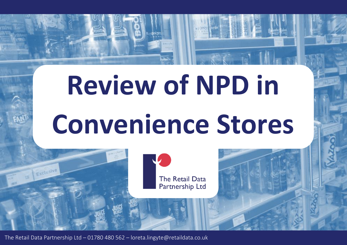## **Review of NPD in Convenience Stores**



The Retail Data Partnership Ltd – 01780 480 562 – loreta.lingyte@retaildata.co.uk

Exclusive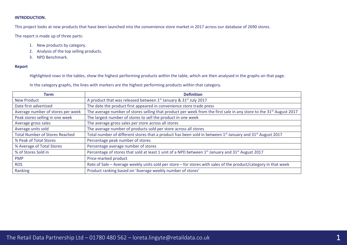## **INTRODUCTION.**

This project looks at new products that have been launched into the convenience store market in 2017 across our database of 2690 stores.

The report is made up of three parts:

- 1. New products by category.
- 2. Analysis of the top selling products.
- 3. NPD Benchmark.

### **Report**

Highlighted rows in the tables, show the highest performing products within the table, which are then analysed in the graphs on that page.

In the category graphs, the lines with markers are the highest performing products within that category.

| Term                                  | <b>Definition</b>                                                                                                                 |
|---------------------------------------|-----------------------------------------------------------------------------------------------------------------------------------|
| <b>New Product</b>                    | A product that was released between 1st January & 31st July 2017                                                                  |
| Date first advertised                 | The date the product first appeared in convenience store trade press                                                              |
| Average number of stores per week     | The average number of stores selling that product per week from the first sale in any store to the 31 <sup>st</sup> August 2017   |
| Peak stores selling in one week       | The largest number of stores to sell the product in one week                                                                      |
| Average gross sales                   | The average gross sales per store across all stores                                                                               |
| Average units sold                    | The average number of products sold per store across all stores                                                                   |
| <b>Total Number of Stores Reached</b> | Total number of different stores that a product has been sold in between 1 <sup>st</sup> January and 31 <sup>st</sup> August 2017 |
| % Peak of Total Stores                | Percentage peak number of stores                                                                                                  |
| % Average of Total Stores             | Percentage average number of stores                                                                                               |
| % of Stores Sold in                   | Percentage of stores that sold at least 1 unit of a NPD between 1 <sup>st</sup> January and 31 <sup>st</sup> August 2017          |
| <b>PMP</b>                            | Price-marked product                                                                                                              |
| <b>ROS</b>                            | Rate of Sale - Average weekly units sold per store - for stores with sales of the product/category in that week                   |
| Ranking                               | Product ranking based on 'Average weekly number of stores'                                                                        |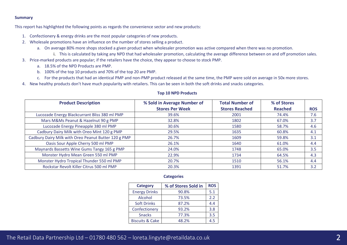### **Summary**

This report has highlighted the following points as regards the convenience sector and new products:

- 1. Confectionery & energy drinks are the most popular categories of new products.
- 2. Wholesale promotions have an influence on the number of stores selling a product.
	- a. On average 80% more shops stocked a given product when wholesaler promotion was active compared when there was no promotion.
		- i. This is calculated by taking any NPD that had wholesaler promotion, calculating the average difference between on and off promotion sales.
- 3. Price-marked products are popular; if the retailers have the choice, they appear to choose to stock PMP.
	- a. 18.5% of the NPD Products are PMP.
	- b. 100% of the top 10 products and 70% of the top 20 are PMP.
	- c. For the products that had an identical PMP and non-PMP product released at the same time, the PMP were sold on average in 50x more stores.
- 4. New healthy products don't have much popularity with retailers. This can be seen in both the soft drinks and snacks categories.

| <b>Product Description</b>                           | % Sold in Average Number of | <b>Total Number of</b> | % of Stores    |            |
|------------------------------------------------------|-----------------------------|------------------------|----------------|------------|
|                                                      | <b>Stores Per Week</b>      | <b>Stores Reached</b>  | <b>Reached</b> | <b>ROS</b> |
| Lucozade Energy Blackcurrant Bliss 380 ml PMP        | 39.6%                       | 2001                   | 74.4%          | 7.6        |
| Mars M&Ms Peanut & Hazelnut 90 g PMP                 | 32.8%                       | 1802                   | 67.0%          | 3.7        |
| Lucozade Energy Pineapple 380 ml PMP                 | 30.6%                       | 1580                   | 58.7%          | 4.6        |
| Cadbury Dairy Milk with Oreo Mint 120 g PMP          | 29.5%                       | 1635                   | 60.8%          | 4.1        |
| Cadbury Dairy Milk with Oreo Peanut Butter 120 g PMP | 26.7%                       | 1609                   | 59.8%          | 3.1        |
| Oasis Sour Apple Cherry 500 ml PMP                   | 26.1%                       | 1640                   | 61.0%          | 4.4        |
| Maynards Bassetts Wine Gums Tangy 165 g PMP          | 24.0%                       | 1748                   | 65.0%          | 3.5        |
| Monster Hydro Mean Green 550 ml PMP                  | 22.9%                       | 1734                   | 64.5%          | 4.3        |
| Monster Hydro Tropical Thunder 550 ml PMP            | 20.7%                       | 1510                   | 56.1%          | 4.4        |
| Rockstar Revolt Killer Citrus 500 ml PMP             | 20.3%                       | 1391                   | 51.7%          | 3.2        |

#### **Top 10 NPD Products**

#### **Categories**

| <b>Category</b>            | % of Stores Sold in | <b>ROS</b> |
|----------------------------|---------------------|------------|
| <b>Energy Drinks</b>       | 90.8%               | 5.1        |
| Alcohol                    | 73.5%               | 2.2        |
| <b>Soft Drinks</b>         | 87.2%               | 4.4        |
| Confectionery              | 93.2%               | 3.8        |
| <b>Snacks</b>              | 77.3%               | 3.5        |
| <b>Biscuits &amp; Cake</b> | 48.2%               | 4.5        |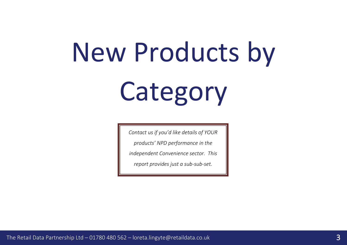# New Products by Category

*Contact us if you'd like details of YOUR* 

*products' NPD performance in the* 

*independent Convenience sector. This* 

*report provides just a sub-sub-set.*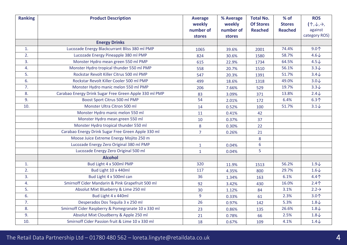| <b>Ranking</b> | <b>Product Description</b>                             | <b>Average</b><br>weekly<br>number of | % Average<br>weekly<br>number of | <b>Total No.</b><br><b>Of Stores</b><br><b>Reached</b> | $%$ of<br><b>Stores</b><br><b>Reached</b> | <b>ROS</b><br>$(\uparrow,\downarrow,\rightarrow)$<br>against |
|----------------|--------------------------------------------------------|---------------------------------------|----------------------------------|--------------------------------------------------------|-------------------------------------------|--------------------------------------------------------------|
|                |                                                        | stores                                | stores                           |                                                        |                                           | category ROS)                                                |
|                | <b>Energy Drinks</b>                                   |                                       |                                  |                                                        |                                           |                                                              |
| 1.             | Lucozade Energy Blackcurrant Bliss 380 ml PMP          | 1065                                  | 39.6%                            | 2001                                                   | 74.4%                                     | 9.0 <sub>1</sub>                                             |
| 2.             | Lucozade Energy Pineapple 380 ml PMP                   | 824                                   | 30.6%                            | 1580                                                   | 58.7%                                     | $4.6\sqrt$                                                   |
| 3.             | Monster Hydro mean green 550 ml PMP                    | 615                                   | 22.9%                            | 1734                                                   | 64.5%                                     | $4.5\downarrow$                                              |
| 4.             | Monster Hydro tropical thunder 550 ml PMP              | 558                                   | 20.7%                            | 1510                                                   | 56.1%                                     | $3.3\downarrow$                                              |
| 5.             | Rockstar Revolt Killer Citrus 500 ml PMP               | 547                                   | 20.3%                            | 1391                                                   | 51.7%                                     | $3.4\sqrt$                                                   |
| 6.             | Rockstar Revolt Killer Cooler 500 ml PMP               | 499                                   | 18.6%                            | 1318                                                   | 49.0%                                     | $3.0\sqrt$                                                   |
| 7.             | Monster Hydro manic melon 550 ml PMP                   | 206                                   | 7.66%                            | 529                                                    | 19.7%                                     | $3.3\downarrow$                                              |
| 8.             | Carabao Energy Drink Sugar Free Green Apple 330 ml PMP | 83                                    | 3.09%                            | 371                                                    | 13.8%                                     | $2.4\downarrow$                                              |
| 9.             | Boost Sport Citrus 500 ml PMP                          | 54                                    | 2.01%                            | 172                                                    | 6.4%                                      | 6.3 <sub>1</sub>                                             |
| 10.            | Monster Ultra Citron 500 ml                            | 14                                    | 0.52%                            | 100                                                    | 51.7%                                     | $3.1\sqrt{ }$                                                |
|                | Monster Hydro manic melon 550 ml                       | 11                                    | 0.41%                            | 42                                                     |                                           |                                                              |
|                | Monster Hydro mean green 550 ml                        | 10                                    | 0.37%                            | 37                                                     |                                           |                                                              |
|                | Monster Hydro tropical thunder 550 ml                  | 8                                     | 0.30%                            | 22                                                     |                                           |                                                              |
|                | Carabao Energy Drink Sugar Free Green Apple 330 ml     | $\overline{7}$                        | 0.26%                            | 21                                                     |                                           |                                                              |
|                | Moose Juice Extreme Energy Mojito 250 m                |                                       |                                  | 8                                                      |                                           |                                                              |
|                | Lucozade Energy Zero Original 380 ml PMP               | $\mathbf{1}$                          | 0.04%                            | $6\,$                                                  |                                           |                                                              |
|                | Lucozade Energy Zero Original 500 ml                   | $\mathbf{1}$                          | 0.04%                            | 5                                                      |                                           |                                                              |
|                | <b>Alcohol</b>                                         |                                       |                                  |                                                        |                                           |                                                              |
| 1.             | Bud Light 4 x 500ml PMP                                | 320                                   | 11.9%                            | 1513                                                   | 56.2%                                     | $1.9\downarrow$                                              |
| 2.             | Bud Light 10 x 440ml                                   | 117                                   | 4.35%                            | 800                                                    | 29.7%                                     | $1.6\downarrow$                                              |
| 3.             | Bud Light 4 x 500ml can                                | 36                                    | 1.34%                            | 163                                                    | 6.1%                                      | $4.4+$                                                       |
| 4.             | Smirnoff Cider Mandarin & Pink Grapefruit 500 ml       | 92                                    | 3.42%                            | 430                                                    | 16.0%                                     | $2.4+$                                                       |
| 5.             | Absolut Mixt Blueberry & Lime 250 ml                   | 30                                    | 1.12%                            | 84                                                     | 3.1%                                      | $2.2 \rightarrow$                                            |
| 6.             | Bud Light 4 x 440ml                                    | 9                                     | 0.33%                            | 61                                                     | 2.3%                                      | 3.0个                                                         |
| 7.             | Desperados Dos Tequila 3 x 250 ml                      | 26                                    | 0.97%                            | 142                                                    | 5.3%                                      | $1.8\downarrow$                                              |
| 8.             | Smirnoff Cider Raspberry & Pomegranate 10 x 330 ml     | 23                                    | 0.86%                            | 135                                                    | 26.6%                                     | $1.8\downarrow$                                              |
| 9.             | Absolut Mixt Cloudberry & Apple 250 ml                 | 21                                    | 0.78%                            | 66                                                     | 2.5%                                      | $1.8\downarrow$                                              |
| 10.            | Smirnoff Cider Passion fruit & Lime 10 x 330 ml        | 18                                    | 0.67%                            | 109                                                    | 4.1%                                      | $1.4\sqrt$                                                   |

## The Retail Data Partnership Ltd – 01780 480 562 – loreta.lingyte@retaildata.co.uk  $4\,$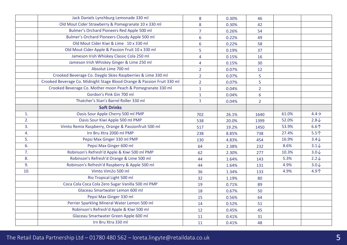|                | Jack Daniels Lynchburg Lemonade 330 ml                                  | 8              | 0.30% | 46             |       |                   |
|----------------|-------------------------------------------------------------------------|----------------|-------|----------------|-------|-------------------|
|                | Old Mout Cider Strawberry & Pomegranate 10 x 330 ml                     | 8              | 0.30% | 42             |       |                   |
|                | Bulmer's Orchard Pioneers Red Apple 500 ml                              | $\overline{7}$ | 0.26% | 54             |       |                   |
|                | Bulmer's Orchard Pioneers Cloudy Apple 500 ml                           | $6\phantom{1}$ | 0.22% | 49             |       |                   |
|                | Old Mout Cider Kiwi & Lime 10 x 330 ml                                  | $6\phantom{1}$ | 0.22% | 58             |       |                   |
|                | Old Mout Cider Apple & Passion Fruit 10 x 330 ml                        | 5              | 0.19% | 37             |       |                   |
|                | Jameson Irish Whiskey Classic Cola 250 ml                               | $\overline{4}$ | 0.15% | 16             |       |                   |
|                | Jameson Irish Whiskey Ginger & Lime 250 ml                              | $\overline{4}$ | 0.15% | 30             |       |                   |
|                | Absolut Lime 700 ml                                                     | $\overline{2}$ | 0.07% | 12             |       |                   |
|                | Crooked Beverage Co. Dayglo Skies Raspberries & Lime 330 ml             | $\overline{2}$ | 0.07% | 5              |       |                   |
|                | Crooked Beverage Co. Midnight Stage Blood Orange & Passion Fruit 330 ml | $\overline{2}$ | 0.07% | 5              |       |                   |
|                | Crooked Beverage Co. Mother moon Peach & Pomegranate 330 ml             | $\mathbf{1}$   | 0.04% | $\overline{2}$ |       |                   |
|                | Gordon's Pink Gin 700 ml                                                | $\mathbf{1}$   | 0.04% | $6\phantom{1}$ |       |                   |
|                | Thatcher's Stan's Barrel Roller 330 ml                                  | $\mathbf{1}$   | 0.04% | $\overline{2}$ |       |                   |
|                | <b>Soft Drinks</b>                                                      |                |       |                |       |                   |
| $\mathbf{1}$ . | Oasis Sour Apple Cherry 500 ml PMP                                      | 702            | 26.1% | 1640           | 61.0% | $4.4 \rightarrow$ |
| 2.             | Oasis Sour Kiwi Apple 500 ml PMP                                        | 538            | 20.0% | 1399           | 52.0% | $2.8\downarrow$   |
| 3.             | Vimto Remix Raspberry, Orange & Passionfruit 500 ml                     | 517            | 19.2% | 1450           | 53.9% | 6.6 <sub>1</sub>  |
| 4.             | Irn Bru Xtra 2000 ml PMP                                                | 238            | 8.85% | 738            | 27.4% | $5.5$ 个           |
| 5.             | Pepsi Max Ginger 330 ml PMP                                             | 130            | 4.83% | 454            | 16.9% | $3.4\downarrow$   |
| 6.             | Pepsi Max Ginger 600 ml                                                 | 64             | 2.38% | 232            | 8.6%  | $3.1\downarrow$   |
| 7.             | Robinson's Refresh'd Apple & Kiwi 500 ml PMP                            | 62             | 2.30% | 277            | 10.3% | $3.0\sqrt$        |
| 8.             | Robinson's Refresh'd Orange & Lime 500 ml                               | 44             | 1.64% | 143            | 5.3%  | $2.2\downarrow$   |
| 9.             | Robinson's Refresh'd Raspberry & Apple 500 ml                           | 44             | 1.64% | 131            | 4.9%  | $3.0\sqrt$        |
| 10.            | Vimto Vim2o 500 ml                                                      | 36             | 1.34% | 133            | 4.9%  | 4.9个              |
|                | Rio Tropical Light 500 ml                                               | 32             | 1.19% | 80             |       |                   |
|                | Coca Cola Coca Cola Zero Sugar Vanilla 500 ml PMP                       | 19             | 0.71% | 89             |       |                   |
|                | Glaceau Smartwater Lemon 600 ml                                         | 18             | 0.67% | 50             |       |                   |
|                | Pepsi Max Ginger 330 ml                                                 | 15             | 0.56% | 64             |       |                   |
|                | Perrier Sparkling Mineral Water Lemon 500 ml                            | 14             | 0.52% | 51             |       |                   |
|                | Robinson's Refresh'd Apple & Kiwi 500 ml                                | 12             | 0.45% | 45             |       |                   |
|                | Glaceau Smartwater Green Apple 600 ml                                   | 11             | 0.41% | 31             |       |                   |
|                | Irn Bru Xtra 330 ml                                                     | 11             | 0.41% | 48             |       |                   |
|                |                                                                         |                |       |                |       |                   |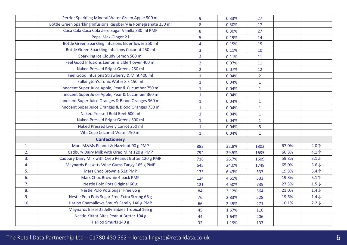|                | Perrier Sparkling Mineral Water Green Apple 500 ml              | 9              | 0.33% | 27             |       |                 |
|----------------|-----------------------------------------------------------------|----------------|-------|----------------|-------|-----------------|
|                | Bottle Green Sparkling Infusions Raspberry & Pomegranate 250 ml | 8              | 0.30% | 17             |       |                 |
|                | Coca Cola Coca Cola Zero Sugar Vanilla 330 ml PMP               | 8              | 0.30% | 27             |       |                 |
|                | Pepsi Max Ginger 2 I                                            | 5              | 0.19% | 14             |       |                 |
|                | Bottle Green Sparkling Infusions Elderflower 250 ml             | $\overline{4}$ | 0.15% | 15             |       |                 |
|                | Bottle Green Sparkling Infusions Coconut 250 ml                 | 3              | 0.11% | 10             |       |                 |
|                | Sparkling Ice Cloudy Lemon 500 ml                               | $\overline{3}$ | 0.11% | 11             |       |                 |
|                | Feel Good Infusions Lemon & Elderflower 400 ml                  | $\overline{2}$ | 0.07% | 11             |       |                 |
|                | Naked Pressed Bright Greens 250 ml                              | $\overline{2}$ | 0.07% | 12             |       |                 |
|                | Feel Good Infusions Strawberry & Mint 400 ml                    | $\mathbf{1}$   | 0.04% | $\overline{2}$ |       |                 |
|                | Folkington's Tonic Water 8 x 150 ml                             | $\mathbf{1}$   | 0.04% | $\mathbf{1}$   |       |                 |
|                | Innocent Super Juice Apple, Pear & Cucumber 750 ml              | $\mathbf{1}$   | 0.04% | $\mathbf{1}$   |       |                 |
|                | Innocent Super Juice Apple, Pear & Cucumber 360 ml              | $\mathbf{1}$   | 0.04% | $\mathbf{1}$   |       |                 |
|                | Innocent Super Juice Oranges & Blood Oranges 360 ml             | $\mathbf{1}$   | 0.04% | $\mathbf{1}$   |       |                 |
|                | Innocent Super Juice Oranges & Blood Oranges 750 ml             | $\mathbf{1}$   | 0.04% | $\mathbf 1$    |       |                 |
|                | Naked Pressed Bold Beet 600 ml                                  | $\mathbf{1}$   | 0.04% | $\mathbf{1}$   |       |                 |
|                | Naked Pressed Bright Greens 600 ml                              | $\mathbf{1}$   | 0.04% | $\mathbf{1}$   |       |                 |
|                | Naked Pressed Lively Carrot 250 ml                              | $\mathbf{1}$   | 0.04% | 5              |       |                 |
|                | Vita Coco Coconut Water 750 ml                                  | $\mathbf{1}$   | 0.04% | $\mathbf{1}$   |       |                 |
|                | <b>Confectionery</b>                                            |                |       |                |       |                 |
| $\mathbf{1}$ . | Mars M&Ms Peanut & Hazelnut 90 g PMP                            | 883            | 32.8% | 1802           | 67.0% | 4.0个            |
| 2.             | Cadbury Dairy Milk with Oreo Mint 120 g PMP                     | 794            | 29.5% | 1635           | 60.8% | $4.1^$          |
| 3.             | Cadbury Dairy Milk with Oreo Peanut Butter 120 g PMP            | 718            | 26.7% | 1609           | 59.8% | $3.1\downarrow$ |
| 4.             | Maynards Bassetts Wine Gums Tangy 165 g PMP                     | 645            | 24.0% | 1748           | 65.0% | $3.6\downarrow$ |
| 5.             | Mars Choc Brownie 51g PMP                                       | 173            | 6.43% | 533            | 19.8% | $5.4+$          |
| 6.             | Mars Choc Brownie 4 pack PMP                                    | 124            | 4.61% | 533            | 19.8% | $5.1^$          |
| 7.             | Nestle Polo Pots Original 66 g                                  | 121            | 4.50% | 735            | 27.3% | $1.5\downarrow$ |
| 8.             | Nestle Polo Pots Sugar Free 66 g                                | 84             | 3.12% | 564            | 21.0% | $1.4\downarrow$ |
| 9.             | Nestle Polo Pots Sugar Free Extra Strong 66 g                   | 76             | 2.83% | 528            | 19.6% | $1.4\downarrow$ |
| 10.            | Haribo Chamallows Smurfs Family 140 g PMP                       | 66             | 2.45% | 271            | 10.1% | $2.2\sqrt{ }$   |
|                | Maynards Bassetts Jelly Babies Tropical 165 g                   | 45             | 1.67% | 110            |       |                 |
|                | Nestle KitKat Bites Peanut Butter 104 g                         | 44             | 1.64% | 206            |       |                 |
|                | Haribo Smurfs 140 g                                             | 32             | 1.19% | 137            |       |                 |
|                |                                                                 |                |       |                |       |                 |

## The Retail Data Partnership Ltd – 01780 480 562 – loreta.lingyte@retaildata.co.uk 6 (6 mm) and  $\sim 6$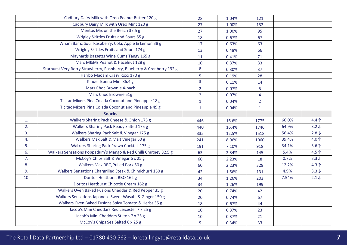|     | Cadbury Dairy Milk with Oreo Peanut Butter 120 g                        | 28             | 1.04% | 121            |       |                 |
|-----|-------------------------------------------------------------------------|----------------|-------|----------------|-------|-----------------|
|     | Cadbury Dairy Milk with Oreo Mint 120 g                                 | 27             | 1.00% | 132            |       |                 |
|     | Mentos Mix on the Beach 37.5 g                                          | 27             | 1.00% | 95             |       |                 |
|     | Wrigley Skittles Fruits and Sours 55 g                                  | 18             | 0.67% | 67             |       |                 |
|     | Wham Bamz Sour Raspberry, Cola, Apple & Lemon 38 g                      | 17             | 0.63% | 63             |       |                 |
|     | Wrigley Skittles Fruits and Sours 174 g                                 | 13             | 0.48% | 66             |       |                 |
|     | Maynards Bassetts Wine Gums Tangy 165 g                                 | 11             | 0.41% | 71             |       |                 |
|     | Mars M&Ms Peanut & Hazelnut 128 g                                       | 10             | 0.37% | 33             |       |                 |
|     | Starburst Very Berry Strawberry, Raspberry, Blueberry & Cranberry 192 g | 8              | 0.30% | 37             |       |                 |
|     | Haribo Maoam Crazy Roxx 170 g                                           | 5              | 0.19% | 28             |       |                 |
|     | Kinder Bueno Mini 86.4 g                                                | $\overline{3}$ | 0.11% | 14             |       |                 |
|     | Mars Choc Brownie 4-pack                                                | $\overline{2}$ | 0.07% | 5              |       |                 |
|     | Mars Choc Brownie 51g                                                   | $2^{\circ}$    | 0.07% | $\overline{4}$ |       |                 |
|     | Tic tac Mixers Pina Colada Coconut and Pineapple 18 g                   | $\mathbf{1}$   | 0.04% | $2^{\circ}$    |       |                 |
|     | Tic tac Mixers Pina Colada Coconut and Pineapple 49 g                   | $\mathbf{1}$   | 0.04% | $\mathbf{1}$   |       |                 |
|     | <b>Snacks</b>                                                           |                |       |                |       |                 |
| 1.  | Walkers Sharing Pack Cheese & Onion 175 g                               | 446            | 16.6% | 1775           | 66.0% | $4.4^$          |
| 2.  | Walkers Sharing Pack Ready Salted 175 g                                 | 440            | 16.4% | 1746           | 64.9% | $3.2\sqrt{ }$   |
| 3.  | Walkers Sharing Pack Salt & Vinegar 175 g                               | 335            | 12.5% | 1518           | 56.4% | $2.8\downarrow$ |
| 4.  | Walkers Max Salt & Malt Vinegar 50 g                                    | 241            | 8.96% | 1060           | 39.4% | 4.0个            |
| 5.  | Walkers Sharing Pack Prawn Cocktail 175 g                               | 191            | 7.10% | 918            | 34.1% | $3.6+$          |
| 6.  | Walkers Sensations Poppadum's Mango & Red Chilli Chutney 82.5 g         | 63             | 2.34% | 145            | 5.4%  | 4.5个            |
| 7.  | McCoy's Chips Salt & Vinegar 6 x 25 g                                   | 60             | 2.23% | 18             | 0.7%  | $3.3\sqrt{ }$   |
| 8.  | Walkers Max BBQ Pulled Pork 50 g                                        | 60             | 2.23% | 329            | 12.2% | $4.3+$          |
| 9.  | Walkers Sensations Chargrilled Steak & Chimichurri 150 g                | 42             | 1.56% | 131            | 4.9%  | $3.3\sqrt{ }$   |
| 10. | Doritos Heatburst BBQ 162 g                                             | 34             | 1.26% | 203            | 7.54% | $2.1\downarrow$ |
|     | Doritos Heatburst Chipotle Cream 162 g                                  | 34             | 1.26% | 199            |       |                 |
|     | Walkers Oven Baked Fusions Cheddar & Red Pepper 35 g                    | 20             | 0.74% | 42             |       |                 |
|     | Walkers Sensations Japanese Sweet Wasabi & Ginger 150 g                 | 20             | 0.74% | 67             |       |                 |
|     | Walkers Oven Baked Fusions Spicy Tomato & Herbs 35 g                    | 18             | 0.67% | 44             |       |                 |
|     | Jacob's Mini Cheddars Red Leicester 7 x 25 g                            | 10             | 0.37% | 23             |       |                 |
|     | Jacob's Mini Cheddars Stilton 7 x 25 g                                  | 10             | 0.37% | 21             |       |                 |
|     | McCoy's Chips Sea Salted 6 x 25 g                                       | 9              | 0.34% | 33             |       |                 |

## The Retail Data Partnership Ltd – 01780 480 562 – loreta.lingyte@retaildata.co.uk 7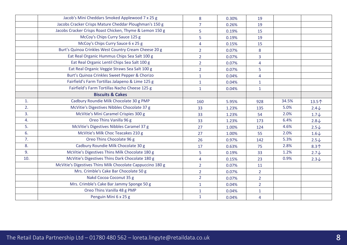|     | Jacob's Mini Cheddars Smoked Applewood 7 x 25 g            | 8              | 0.30% | 19             |       |                 |
|-----|------------------------------------------------------------|----------------|-------|----------------|-------|-----------------|
|     | Jacobs Cracker Crisps Mature Cheddar Ploughman's 150 g     | $\overline{7}$ | 0.26% | 19             |       |                 |
|     | Jacobs Cracker Crisps Roast Chicken, Thyme & Lemon 150 g   | 5              | 0.19% | 15             |       |                 |
|     | McCoy's Chips Curry Sauce 125 g                            | 5              | 0.19% | 19             |       |                 |
|     | McCoy's Chips Curry Sauce 6 x 25 g                         | 4              | 0.15% | 15             |       |                 |
|     | Burt's Quinoa Crinkles West Country Cream Cheese 20 g      | $\overline{2}$ | 0.07% | 8              |       |                 |
|     | Eat Real Organic Hummus Chips Sea Salt 100 g               | $\overline{2}$ | 0.07% | $\overline{3}$ |       |                 |
|     | Eat Real Organic Lentil Chips Sea Salt 100 g               | $\overline{2}$ | 0.07% | $\overline{4}$ |       |                 |
|     | Eat Real Organic Veggie Straws Sea Salt 100 g              | $\overline{2}$ | 0.07% | 5              |       |                 |
|     | Burt's Quinoa Crinkles Sweet Pepper & Chorizo              | $\mathbf{1}$   | 0.04% | $\overline{4}$ |       |                 |
|     | Fairfield's Farm Tortillas Jalapeno & Lime 125 g           | $\mathbf{1}$   | 0.04% | $\mathbf{1}$   |       |                 |
|     | Fairfield's Farm Tortillas Nacho Cheese 125 g              | $\mathbf{1}$   | 0.04% | $\mathbf{1}$   |       |                 |
|     | <b>Biscuits &amp; Cakes</b>                                |                |       |                |       |                 |
| 1.  | Cadbury Roundie Milk Chocolate 30 g PMP                    | 160            | 5.95% | 928            | 34.5% | 13.5个           |
| 2.  | McVitie's Digestives Nibbles Chocolate 37 g                | 33             | 1.23% | 135            | 5.0%  | $2.4\sqrt$      |
| 3.  | McVitie's Mini Caramel Crispies 300 g                      | 33             | 1.23% | 54             | 2.0%  | $1.7\downarrow$ |
| 4.  | Oreo Thins Vanilla 96 g                                    | 33             | 1.23% | 173            | 6.4%  | $2.8\downarrow$ |
| 5.  | McVitie's Digestives Nibbles Caramel 37 g                  | 27             | 1.00% | 124            | 4.6%  | $2.5\downarrow$ |
| 6.  | McVitie's Milk Choc Teacakes 210 g                         | 27             | 1.00% | 55             | 2.0%  | $1.6\downarrow$ |
| 7.  | Oreo Thins Chocolate 96 g                                  | 26             | 0.97% | 142            | 5.3%  | $2.5\downarrow$ |
| 8.  | Cadbury Roundie Milk Chocolate 30 g                        | 17             | 0.63% | 75             | 2.8%  | $8.3+$          |
| 9.  | McVitie's Digestives Thins Milk Chocolate 180 g            | 5              | 0.19% | 33             | 1.2%  | $2.7\downarrow$ |
| 10. | McVitie's Digestives Thins Dark Chocolate 180 g            | $\overline{4}$ | 0.15% | 23             | 0.9%  | $2.3\downarrow$ |
|     | McVitie's Digestives Thins Milk Chocolate Cappuccino 180 g | $\overline{2}$ | 0.07% | 11             |       |                 |
|     | Mrs. Crimble's Cake Bar Chocolate 50 g                     | $\overline{2}$ | 0.07% | $\overline{2}$ |       |                 |
|     | Nakd Cocoa Coconut 35 g                                    | $2^{\circ}$    | 0.07% | $\overline{2}$ |       |                 |
|     | Mrs. Crimble's Cake Bar Jammy Sponge 50 g                  | $\mathbf{1}$   | 0.04% | $\overline{2}$ |       |                 |
|     | Oreo Thins Vanilla 48 g PMP                                | $\mathbf{1}$   | 0.04% | $\mathbf{1}$   |       |                 |
|     | Penguin Mini 6 x 25 g                                      | $\mathbf{1}$   | 0.04% | $\overline{4}$ |       |                 |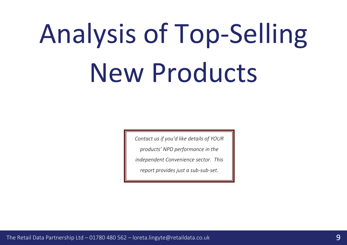## Analysis of Top-Selling New Products

*Contact us if you'd like details of YOUR products' NPD performance in the independent Convenience sector. This report provides just a sub-sub-set.*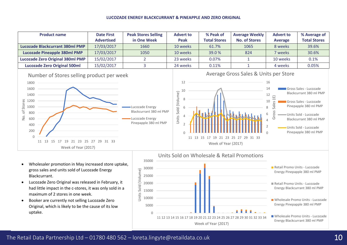### **LUCOZADE ENERGY BLACKCURRANT & PINEAPPLE AND ZERO ORIGINAL**

| <b>Product name</b>                                                                                                                                                                                                      | <b>Date First</b><br><b>Advertised</b> | <b>Peak Stores Selling</b><br>in One Week                                              | <b>Advert to</b><br>Peak                | % Peak of<br><b>Total Stores</b>                  | <b>Average Weekly</b><br><b>No. of Stores</b>        | <b>Advert to</b><br><b>Average</b>                               | % Average of<br><b>Total Stores</b>                                                                                                                                                                        |
|--------------------------------------------------------------------------------------------------------------------------------------------------------------------------------------------------------------------------|----------------------------------------|----------------------------------------------------------------------------------------|-----------------------------------------|---------------------------------------------------|------------------------------------------------------|------------------------------------------------------------------|------------------------------------------------------------------------------------------------------------------------------------------------------------------------------------------------------------|
| <b>Lucozade Blackcurrant 380ml PMP</b>                                                                                                                                                                                   | 17/03/2017                             | 1660                                                                                   | 10 weeks                                | 61.7%                                             | 1065                                                 | 8 weeks                                                          | 39.6%                                                                                                                                                                                                      |
| <b>Lucozade Pineapple 380ml PMP</b>                                                                                                                                                                                      | 17/03/2017                             | 1050                                                                                   | 10 weeks                                | 39.0%                                             | 824                                                  | 7 weeks                                                          | 30.6%                                                                                                                                                                                                      |
| <b>Lucozade Zero Original 380ml PMP</b>                                                                                                                                                                                  | 15/02/2017                             | $\overline{2}$                                                                         | 23 weeks                                | 0.07%                                             |                                                      | 10 weeks                                                         | 0.1%                                                                                                                                                                                                       |
| <b>Lucozade Zero Original 500ml</b>                                                                                                                                                                                      | 15/02/2017                             | 3                                                                                      | 24 weeks                                | 0.11%                                             |                                                      | 4 weeks                                                          | 0.05%                                                                                                                                                                                                      |
| Number of Stores selling product per week<br>1800<br>1600<br>1400<br>Stores<br>1200<br>1000<br>đ<br>800<br>δ.<br>600<br>400<br>200<br>$\overline{0}$<br>11 13<br>15<br>17<br>21<br>19<br>23<br>25<br>Week of Year (2017) | 31 33<br>27<br>29                      | Lucozade Energy<br>Blackcurrant 380 ml PMP<br>Lucozade Energy<br>Pinepapple 380 ml PMP | 12<br>10<br>Sold (Volume)<br>8<br>Units | 11 13 15 17 19 21 23 25 27<br>Week of Year (2017) | Average Gross Sales & Units per Store<br>29<br>31 33 | 16<br>14<br>12<br>$(\text{f})$<br>10<br>ΘS<br>8<br>6<br>Gro<br>4 | Gross Sales - Lucozade<br>Blackcurrant 380 ml PMP<br>Gross Sales - Lucozade<br>Pinepapple 380 ml PMP<br>Units Sold - Lucozade<br>Blackcurrant 380 ml PMP<br>Units Sold - Lucozade<br>Pinepapple 380 ml PMP |

- Wholesaler promotion in May increased store uptake, gross sales and units sold of Lucozade Energy Blackcurrant.
- Lucozade Zero Original was released in February, it had little impact in the c-stores, it was only sold in a maximum of 2 stores in one week.
- Booker are currently not selling Lucozade Zero Original, which is likely to be the cause of its low uptake.

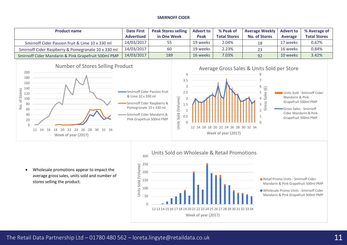## **SMIRNOFF CIDER**

| <b>Product name</b>                                 | <b>Date First</b> | <b>Peak Stores selling</b> | <b>Advert to</b> | % Peak of           | <b>Average Weekly</b> | <b>Advert to</b> | % Average of        |
|-----------------------------------------------------|-------------------|----------------------------|------------------|---------------------|-----------------------|------------------|---------------------|
|                                                     | <b>Advertised</b> | in One Week                | Peak             | <b>Total Stores</b> | <b>No. of Stores</b>  | Average          | <b>Total Stores</b> |
| Smirnoff Cider Passion fruit & Lime 10 x 330 ml     | 14/03/2017        | 55                         | 19 weeks         | 2.04%               | 18                    | 17 weeks         | 0.67%               |
| Smirnoff Cider Raspberry & Pomegranate 10 x 330 ml  | 14/03/2017        | 60                         | 19 weeks         | 2.23%               | 23                    | 16 weeks         | 0.84%               |
| Smirnoff Cider Mandarin & Pink Grapefruit 500ml PMP | 14/03/2017        | 189                        | 16 weeks         | 7.03%               | 92                    | 10 weeks         | 3.42%               |





• Wholesale promotions appear to impact the average gross sales, units sold and number of stores selling the product.

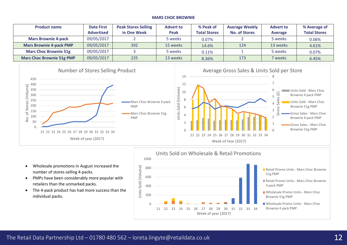## **MARS CHOC BROWNIE**

| <b>Product name</b>            | <b>Date First</b> | <b>Peak Stores Selling</b> | <b>Advert to</b> | % Peak of           | <b>Average Weekly</b> | <b>Advert to</b> | % Average of        |
|--------------------------------|-------------------|----------------------------|------------------|---------------------|-----------------------|------------------|---------------------|
|                                | <b>Advertised</b> | in One Week                | <b>Peak</b>      | <b>Total Stores</b> | <b>No. of Stores</b>  | Average          | <b>Total Stores</b> |
| <b>Mars Brownie 4-pack</b>     | 09/05/2017        |                            | 5 weeks          | 0.07%               |                       | 5 weeks          | 0.06%               |
| <b>Mars Brownie 4-pack PMP</b> | 09/05/2017        | 392                        | 15 weeks         | 14.6%               | 124                   | 13 weeks         | 4.61%               |
| <b>Mars Choc Brownie 51g</b>   | 09/05/2017        |                            | 5 weeks          | 0.11%               |                       | 5 weeks          | 0.07%               |
| Mars Choc Brownie 51g PMP      | 09/05/2017        | 225                        | 13 weeks         | 8.36%               | 173                   | 7 weeks          | 6.45%               |





- Wholesale promotions in August increased the number of stores selling 4-packs.
- PMPs have been considerably more popular with retailers than the unmarked packs.
- The 4-pack product has had more success than the individual packs.

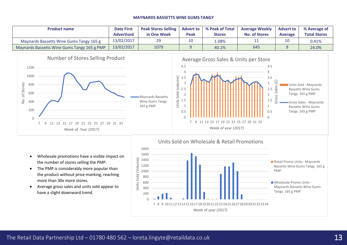#### **MAYNARDS BASSETTS WINE GUMS TANGY**

| <b>Product name</b>                         | <b>Date First</b><br><b>Advertised</b> | <b>Peak Stores Selling</b><br>in One Week | <b>Advert to</b><br>Peak | % Peak of Total<br><b>Stores</b> | <b>Average Weekly</b><br><b>No. of Stores</b> | <b>Advert to</b><br><b>Average</b> | % Average of<br><b>Total Stores</b> |
|---------------------------------------------|----------------------------------------|-------------------------------------------|--------------------------|----------------------------------|-----------------------------------------------|------------------------------------|-------------------------------------|
| Maynards Bassetts Wine Gums Tangy 165 g     | 13/02/2017                             | 29                                        | 10                       | $1.08\%$                         |                                               | 10                                 | 0.41%                               |
| Maynards Bassetts Wine Gums Tangy 165 g PMP | 13/02/2017                             | 1079                                      |                          | 40.1%                            | 645                                           |                                    | 24.0%                               |





- Wholesale promotions have a visible impact on the number of stores selling the PMP.
- The PMP is considerably more popular than the product without price-marking, reaching more than 30x more stores.
- Average gross sales and units sold appear to have a slight downward trend.

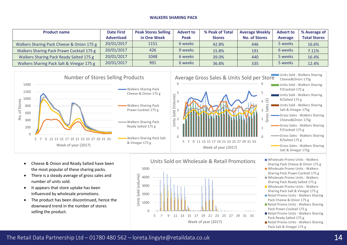### **WALKERS SHARING PACK**

| <b>Product name</b>                       | <b>Date First</b> | <b>Peak Stores Selling</b> | <b>Advert to</b> | % Peak of Total | <b>Average Weekly</b> | <b>Advert to</b> | % Average of        |
|-------------------------------------------|-------------------|----------------------------|------------------|-----------------|-----------------------|------------------|---------------------|
|                                           | <b>Advertised</b> | in One Week                | <b>Peak</b>      | <b>Stores</b>   | <b>No. of Stores</b>  | <b>Average</b>   | <b>Total Stores</b> |
| Walkers Sharing Pack Cheese & Onion 175 g | 20/01/2017        | 1151                       | 6 weeks          | 42.8%           | 446                   | 5 weeks          | 16.6%               |
| Walkers Sharing Pack Prawn Cocktail 175 g | 20/01/2017        | 426                        | 9 weeks          | 15.8%           | 191                   | 6 weeks          | 7.11%               |
| Walkers Sharing Pack Ready Salted 175 g   | 20/01/2017        | 1048                       | 6 weeks          | 39.0%           | 440                   | 5 weeks          | 16.4%               |
| Walkers Sharing Pack Salt & Vinegar 175 g | 20/01/2017        | 991                        | 6 weeks          | 36.8%           | 335                   | 5 weeks          | 12.4%               |





- Cheese & Onion and Ready Salted have been the most popular of these sharing packs.
- There is a steady average of gross sales and number of units sold.
- It appears that store uptake has been influenced by wholesale promotions.
- The product has been discontinued, hence the downward trend in the number of stores selling the product.



## Units Sold on Wholesale & Retail Promotions Wholesale Promo Units - Walkers

- Sharing Pack Cheese & Onion 175 g
- Wholesale Promo Units Walkers Sharing Pack Prawn Cocktail 175 g Wholesale Promo Units - Walkers
- Sharing Pack Ready Salted 175 g
- Wholesale Promo Units Walkers Sharing Pack Salt & Vinegar 175 g
- Retail Promo Units Walkers Sharing Pack Cheese & Onion 175 g
- Retail Promo Units Walkers Sharing Pack Prawn Cocktail 175 g
- Retail Promo Units Walkers Sharing Pack Ready Salted 175 g
- Retail Promo Units Walkers Sharing Pack Salt & Vinegar 175 g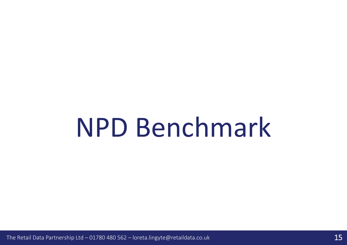## NPD Benchmark

The Retail Data Partnership Ltd – 01780 480 562 – loreta.lingyte@retaildata.co.uk 15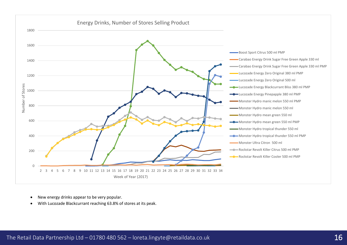

- New energy drinks appear to be very popular.
- With Lucozade Blackcurrant reaching 63.8% of stores at its peak.